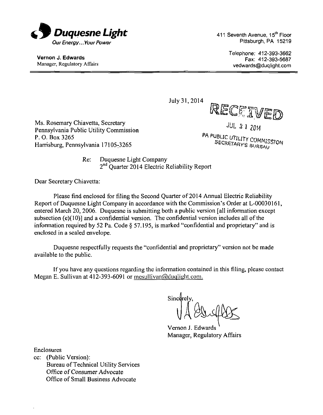

Vernon J. Edwards Manager, Regulatory Affairs 411 Seventh Avenue, 15<sup>th</sup> Floor Pittsburgh, PA 15219

> Telephone: 412-393-3662 Fax: 412-393-5687 vedwards@duqlight.com

July31,2014

Ms. Rosemary Chiavetta, Secretary Pennsylvania Public Utility Commission P. O. Box 3265 Harrisburg, Pennsylvania 17105-3265

*JUL 3 i<sup>m</sup>*

PA PUBLIC UTILITY COMMISSION **SECRETARY'S BUREAU** 

Re: Duquesne Light Company 2<sup>nd</sup> Quarter 2014 Electric Reliability Report

Dear Secretary Chiavetta:

Please find enclosed for filing the Second Quarter of 2014 Annual Electric Reliability Report of Duquesne Light Company in accordance with the Commission's Order at L-00030161, entered March 20, 2006. Duquesne is submitting both a public version [all information except subsection (e)(10)] and a confidential version. The confidential version includes all of the information required by 52 Pa. Code § 57.195, is marked "confidential and proprietary" and is enclosed in a sealed envelope.

Duquesne respectfully requests the "confidential and proprietary" version not be made available to the public.

If you have any questions regarding the information contained in this filing, please contact Megan E. Sullivan at 412-393-6091 or mesullivan@duqlight.com.

Sincerely.

Vernon J. Edwards Manager, Regulatory Affairs

Enclosures

cc: (Public Version): Bureau of Technical Utility Services Office of Consumer Advocate Office of Small Business Advocate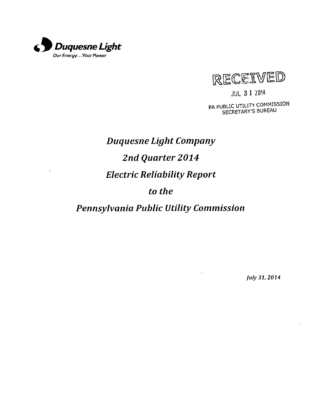



JUL 3 1 20H PA PUBLIC UTILITY COMMISSION SECRETARY'S BUREAU

# *Duquesne Light Company 2nd Quarter 2014 Electric Reliability Report to the*

*Pennsylvania Public Utility Commission* 

 $\bar{\rm{}}$ 

*July 31, 2014*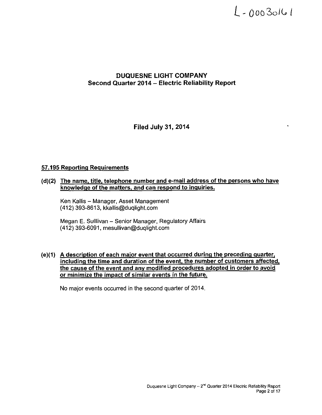## $L - 00030161$

#### **DUQUESNE LIGHT COMPANY Second Quarter 2014 - Electric Reliability Report**

**Filed July 31, 2014** 

#### **57.195 Reporting Requirements**

#### **(d)(2) The name, title, telephone number and e-mail address of the persons who have knowledge ofthe matters, and can respond to inquiries.**

Ken Kallis - Manager, Asset Management (412) 393-8613, kkallis@duqlight.com

Megan E. Sulllivan - Senior Manager, Regulatory Affairs (412)393-6091, mesullivan@duqlight.com

#### **(e)(1) A description of each major event that occurred during the preceding quarter,**  including the time and duration of the event, the number of customers affected, **the cause of the event and anv modified procedures adopted in order to avoid or minimize the impact of similar events in the future.**

No major events occurred in the second quarter of 2014.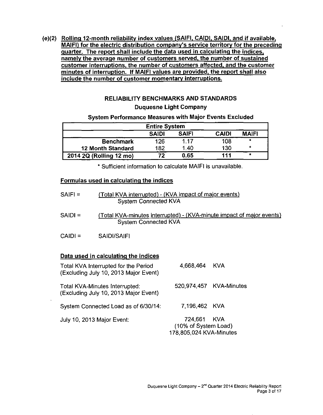**(e)(2) Rolling 12-month reliability index values (SAIFI, CAIDI, SAIDI. and if available. MAIFI) for the electric distribution company's service territory for the preceding quarter. The report shall include the data used in calculating the indices, namely the average number of customers served, the number of sustained customer interruptions, the number of customers affected, and the customer minutes of interruption. If MAIFI values are provided, the report shall also include the number of customer momentary interruptions.** 

#### **RELIABILITY BENCHMARKS AND STANDARDS Duquesne Light Company**

#### **System Performance Measures with Major Events Excluded**

| <b>Entire System</b>                                         |     |      |     |         |  |  |  |  |  |  |
|--------------------------------------------------------------|-----|------|-----|---------|--|--|--|--|--|--|
| <b>SAIFI</b><br><b>MAIFI</b><br><b>CAIDI</b><br><b>SAIDI</b> |     |      |     |         |  |  |  |  |  |  |
| <b>Benchmark</b>                                             | 126 | 1 17 | 108 | $\star$ |  |  |  |  |  |  |
| <b>12 Month Standard</b>                                     | 182 | 1.40 | 130 | ۰       |  |  |  |  |  |  |
| 2014 2Q (Rolling 12 mo)                                      | 72  | 0.65 | 111 | $\star$ |  |  |  |  |  |  |

**\* Sufficient information to calculate MAIFI is unavailable.** 

#### **Formulas used in calculating the indices**

| $SAIF =$  | (Total KVA interrupted) - (KVA impact of major events)<br><b>System Connected KVA</b>                |
|-----------|------------------------------------------------------------------------------------------------------|
| $SAIDI =$ | (Total KVA-minutes interrupted) - (KVA-minute impact of major events)<br><b>System Connected KVA</b> |
| $CAID =$  | SAIDI/SAIFI                                                                                          |
|           |                                                                                                      |

## **Data used in calculating the indices**

| Total KVA Interrupted for the Period<br>(Excluding July 10, 2013 Major Event) | 4.668.464 KVA                                                  |                         |
|-------------------------------------------------------------------------------|----------------------------------------------------------------|-------------------------|
| Total KVA-Minutes Interrupted:<br>(Excluding July 10, 2013 Major Event)       |                                                                | 520,974,457 KVA-Minutes |
| System Connected Load as of 6/30/14:                                          | 7,196,462 KVA                                                  |                         |
| July 10, 2013 Major Event:                                                    | 724,661 KVA<br>(10% of System Load)<br>178,805,024 KVA-Minutes |                         |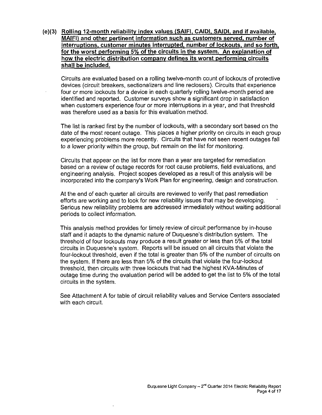**(e)(3) Rolling 12-month reliability index values (SAIFI. CAIDI. SAIDI. and if available, MAIFI) and other pertinent information such as customers served, number of interruptions, customer minutes interrupted, number of lockouts, and so forth, for the worst performing 5% of the circuits in the svstem. An explanation of how the electric distribution companv defines its worst performing circuits shall be included.** 

Circuits are evaluated based on a rolling twelve-month count of lockouts of protective devices (circuit breakers, sectionalizers and line reclosers). Circuits that experience four or more lockouts fora device in each quarterly rolling twelve-month period are identified and reported. Customer surveys show a significant drop in satisfaction when customers experience four or more interruptions in a year, and that threshold was therefore used as a basis for this evaluation method.

The list is ranked first by the number of lockouts, with a secondary sort based on the date of the most recent outage. This places a higher priority on circuits in each group experiencing problems more recently. Circuits that have not seen recent outages fail to a lower priority within the group, but remain on the list for monitoring.

Circuits that appear on the list for more than a year are targeted for remediation based on a review of outage records for root cause problems, field evaluations, and engineering analysis. Project scopes developed as a result of this analysis will be incorporated into the company's Work Plan for engineering, design and construction.

At the end of each quarter all circuits are reviewed to verify that past remediation efforts are working and to look for new reliability issues that may be developing. Serious new reliability problems are addressed immediately without waiting additional periods to collect information.

This analysis method provides for timely review of circuit performance by in-house staff and it adapts to the dynamic nature of Duquesne's distribution system. The threshold of four lockouts may produce a result greater or less than 5% of the total circuits in Duquesne's system. Reports will be issued on all circuits that violate the four-lockout threshold, even if the total is greater than 5% of the number of circuits on the system. If there are less than 5% of the circuits that violate the four-lockout threshold, then circuits with three lockouts that had the highest KVA-Minutes of outage time during the evaluation period will be added to get the list to 5% of the total circuits in the system.

See Attachment A for table of circuit reliability values and Service Centers associated with each circuit.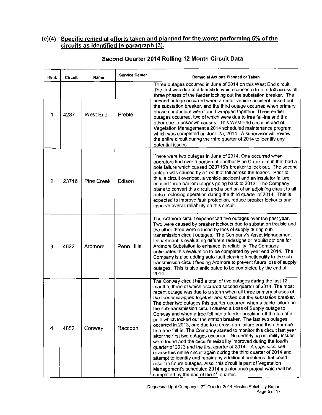#### **(e)(4) Specific remedial efforts taken and planned for the worst performing 5% ofthe circuits a s identified in paragraph (3).**

| Rank           | <b>Circuit</b> | Name              | <b>Service Center</b> | Remedial Actions Planned or Taken                                                                                                                                                                                                                                                                                                                                                                                                                                                                                                                                                                                                                                                                                                                                                                                                                                                                                                                                                                                                                                                                                                                                                                                                                                                       |
|----------------|----------------|-------------------|-----------------------|-----------------------------------------------------------------------------------------------------------------------------------------------------------------------------------------------------------------------------------------------------------------------------------------------------------------------------------------------------------------------------------------------------------------------------------------------------------------------------------------------------------------------------------------------------------------------------------------------------------------------------------------------------------------------------------------------------------------------------------------------------------------------------------------------------------------------------------------------------------------------------------------------------------------------------------------------------------------------------------------------------------------------------------------------------------------------------------------------------------------------------------------------------------------------------------------------------------------------------------------------------------------------------------------|
| 1              | 4237           | West End          | Preble                | Three outages occurred in June of 2014 on this West End circuit.<br>The first was due to a landslide which caused a tree to fall across all<br>three phases of the feeder locking out the substation breaker. The<br>second outage occurred when a motor vehicle accident locked out<br>the substation breaker, and the third outage occurred when primary<br>phase conductors were found wrapped together. Three earlier<br>outages occurred, two of which were due to tree fall-ins and the<br>other due to unknown causes. This West End circuit is part of<br>Vegetation Management's 2014 scheduled maintenance program<br>which was completed on June 25, 2014. A supervisor will review<br>the entire circuit during the third quarter of 2014 to identify any<br>potential issues.                                                                                                                                                                                                                                                                                                                                                                                                                                                                                              |
| $\overline{2}$ | 23716          | <b>Pine Creek</b> | Edison                | There were two outages in June of 2014. One occurred when<br>operators tied over a portion of another Pine Creek circuit that had a<br>pole failure which caused D23716's breaker to lock out. The second<br>outage was caused by a tree that fell across the feeder. Prior to<br>this, a circuit overload, a vehicle accident and an insulator failure<br>caused three earlier outages going back to 2013. The Company<br>plans to convert this circuit and a portion of an adjoining circuit to all<br>pulse-reclosing operation during the third quarter of 2014. This is<br>expected to improve fault protection, reduce breaker lockouts and<br>improve overall reliability on this circuit.                                                                                                                                                                                                                                                                                                                                                                                                                                                                                                                                                                                       |
| 3              | 4622           | Ardmore           | Penn Hills            | The Ardmore circuit experienced five outages over the past year.<br>Two were caused by breaker lockouts due to substation trouble and<br>the other three were caused by loss of supply during sub-<br>transmission circuit outages. The Company's Asset Management<br>Department is evaluating different redesigns or rebuild options for<br>Ardmore Substation to enhance its reliability. The Company<br>anticipates this evaluation to be completed by year end 2014. The<br>Company is also adding auto fault-clearing functionality to the sub-<br>transmission circuit feeding Ardmore to prevent future loss of supply<br>outages. This is also anticipated to be completed by the end of<br>2014.                                                                                                                                                                                                                                                                                                                                                                                                                                                                                                                                                                               |
| 4              | 4852           | Conway            | Raccoon               | The Conway circuit had a total of five outages during the last 12<br>months, three of which occurred second quarter of 2014. The most<br>recent outage was due to a storm when all three primary phases of<br>the feeder wrapped together and locked out the substation breaker.<br>The other two outages this quarter occurred when a cable failure on<br>the sub-transmission circuit caused a Loss of Supply outage to<br>Conway and when a tree fell into a feeder breaking off the top of a<br>pole which locked out the station breaker. The last two outages<br>occurred in 2013, one due to a cross arm failure and the other due<br>to a tree fall-in. The Company started to monitor this circuit last year<br>after the first two outages occurred. No underlying reliability issues<br>were found and the circuit's reliability improved during the fourth<br>quarter of 2013 and the first quarter of 2014. A supervisor will<br>review this entire circuit again during the third quarter of 2014 and<br>attempt to identify and repair any additional problems that could<br>result in future outages. Also, this circuit is part of Vegetation<br>Management's scheduled 2014 maintenance project which will be<br>completed by the end of the 4 <sup>th</sup> quarter. |

#### **Second Quarter 2014 Rolling 12 Month Circuit Data**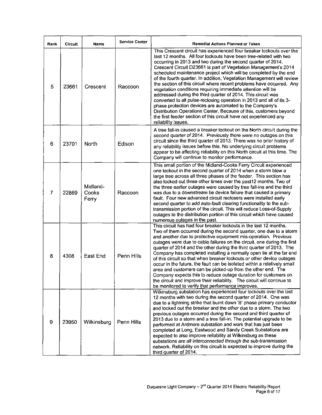| Rank           | <b>Circuit</b> | Name                       | <b>Service Center</b> | Remedial Actions Planned or Taken                                                                                                                                                                                                                                                                                                                                                                                                                                                                                                                                                                                                                                                                                                                                                                                                                                                                                                    |  |  |  |  |  |
|----------------|----------------|----------------------------|-----------------------|--------------------------------------------------------------------------------------------------------------------------------------------------------------------------------------------------------------------------------------------------------------------------------------------------------------------------------------------------------------------------------------------------------------------------------------------------------------------------------------------------------------------------------------------------------------------------------------------------------------------------------------------------------------------------------------------------------------------------------------------------------------------------------------------------------------------------------------------------------------------------------------------------------------------------------------|--|--|--|--|--|
| 5              | 23661          | Crescent                   | Raccoon               | This Crescent circuit has experienced four breaker lockouts over the<br>last 12 months. All four lockouts have been tree-related with two<br>occurring in 2013 and two during the second quarter of 2014.<br>Crescent Circuit D23661 is part of Vegetation Management's 2014<br>scheduled maintenance project which will be completed by the end<br>of the fourth quarter. In addition, Vegetation Management will review<br>the section of this circuit where recent problems have occurred. Any<br>vegetation conditions requiring immediate attention will be<br>addressed during the third quarter of 2014. This circuit was<br>converted to all pulse-reclosing operation in 2013 and all of its 3-<br>phase protection devices are automated to the Company's<br>Distribution Operations Center. Because of this, customers beyond<br>the first feeder section of this circuit have not experienced any<br>reliability issues. |  |  |  |  |  |
| 6              | 23701          | <b>North</b>               | Edison                | A tree fall-in caused a breaker lockout on the North circuit during the<br>second quarter of 2014. Previously there were no outages on this<br>circuit since the third quarter of 2013. There was no prior history of<br>any reliability issues before this. No underlying circuit problems<br>appear to be affecting reliability on this North circuit at this time. The<br>Company will continue to monitor performance.                                                                                                                                                                                                                                                                                                                                                                                                                                                                                                           |  |  |  |  |  |
| $\overline{7}$ | 22869          | Midland-<br>Cooks<br>Ferry | Raccoon               | This small portion of the Midland-Cooks Ferry Circuit experienced<br>one lockout in the second quarter of 2014 when a storm blew a<br>large tree across all three phases of the feeder. This section has<br>also locked out three other times over the past12 months. Two of<br>the three earlier outages were caused by tree fall-ins and the third<br>was due to a downstream tie device failure that caused a primary<br>fault. Four new advanced circuit reclosers were installed early<br>second quarter to add auto-fault clearing functionality to the sub-<br>transmission portion of the circuit. This will reduce Loss-of-Supply<br>outages to the distribution portion of this circuit which have caused<br>numerous outages in the past.                                                                                                                                                                                 |  |  |  |  |  |
| 8              | 4308           | East End                   | Penn Hills            | This circuit has had four breaker lockouts in the last 12 months.<br>Two of them occurred during the second quarter, one due to a storm<br>and another due to protective equipment mis-operation. Previous<br>outages were due to cable failures on the circuit, one during the first<br>quarter of 2014 and the other during the third quarter of 2013. The<br>Company has completed installing a normally open tie at the far end<br>of this circuit so that when breaker lockouts or other device outages<br>occur in the future, the fault can be isolated within a relatively small<br>area and customers can be picked-up from the other end. The<br>Company expects this to reduce outage duration for customers on<br>the circuit and improve their reliability. The circuit will continue to<br>be monitored to verify that performance improves.                                                                           |  |  |  |  |  |
| 9              | 23950          | Wilkinsburg                | Penn Hills            | Wilkinsburg substation has experienced four lockouts over the last<br>12 months with two during the second quarter of 2014. One was<br>due to a lightning strike that burnt down 'B' phase primary conductor<br>and locked out the breaker and the other due to a storm. The two<br>previous outages occurred during the second and third quarter of<br>2013 due to a storm and a tree fall-in. The potential upgrade to be<br>performed at Ardmore substation and work that has just been<br>completed at Long, Eastwood and Sandy Creek Substations are<br>expected to also improve reliability at Wilkinsburg as these<br>substations are all interconnected through the sub-transmission<br>network. Reliability on this circuit is expected to improve during the<br>third quarter of 2014.                                                                                                                                     |  |  |  |  |  |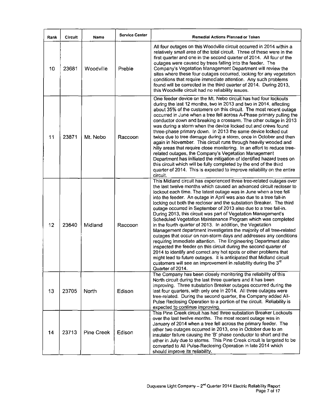| Rank | Circuit | Name              | <b>Service Center</b> | Remedial Actions Planned or Taken                                                                                                                                                                                                                                                                                                                                                                                                                                                                                                                                                                                                                                                                                                                                                                                                                                                                                                                                                                                                                                                                                                                                   |
|------|---------|-------------------|-----------------------|---------------------------------------------------------------------------------------------------------------------------------------------------------------------------------------------------------------------------------------------------------------------------------------------------------------------------------------------------------------------------------------------------------------------------------------------------------------------------------------------------------------------------------------------------------------------------------------------------------------------------------------------------------------------------------------------------------------------------------------------------------------------------------------------------------------------------------------------------------------------------------------------------------------------------------------------------------------------------------------------------------------------------------------------------------------------------------------------------------------------------------------------------------------------|
| 10   | 23681   | Woodville         | Preble                | All four outages on this Woodville circuit occurred in 2014 within a<br>relatively small area of the total circuit. Three of these were in the<br>first quarter and one in the second quarter of 2014. All four of the<br>outages were caused by trees falling into the feeder. The<br>Company's Vegetation Management Department will review the<br>sites where these four outages occurred, looking for any vegetation<br>conditions that require immediate attention. Any such problems<br>found will be corrected in the third quarter of 2014. During 2013,<br>this Woodville circuit had no reliability issues.                                                                                                                                                                                                                                                                                                                                                                                                                                                                                                                                               |
| 11   | 23871   | Mt. Nebo          | Raccoon               | One feeder device on the Mt. Nebo circuit has had four lockouts<br>during the last 12 months, two in 2013 and two in 2014, affecting<br>about 35% of the customers on this circuit. The most recent outage<br>occurred in June when a tree fell across A-Phase primary pulling the<br>conductor down and breaking a crossarm. The other outage in 2013<br>was during a storm when the device locked out and crews found<br>three-phase primary down. In 2013 the same device locked out<br>twice due to tree damage during a storm, once in October and then<br>again in November. This circuit runs through heavily wooded and<br>hilly areas that require close monitoring. In an effort to reduce tree-<br>related outages, the Company's Vegetation Management<br>Department has initiated the mitigation of identified hazard trees on<br>this circuit which will be fully completed by the end of the third<br>quarter of 2014. This is expected to improve reliability on the entire<br>circuit.                                                                                                                                                             |
| 12   | 23640   | Midland           | Raccoon               | This Midland circuit has experienced three tree-related outages over<br>the last twelve months which caused an advanced circuit recloser to<br>lockout each time. The latest outage was in June when a tree fell<br>into the feeder. An outage in April was also due to a tree fall-in<br>locking out both the recloser and the substation Breaker. The third<br>outage occurred in September of 2013 also due to a tree fall-in.<br>During 2013, this circuit was part of Vegetation Management's<br>Scheduled Vegetation Maintenance Program which was completed<br>in the fourth quarter of 2013. In addition, the Vegetation<br>Management department investigates the majority of all tree-related<br>outages that occur on non-storm days and addresses any conditions<br>requiring immediate attention. The Engineering Department also<br>inspected the feeder on this circuit during the second quarter of<br>2014 to identify and correct any hot spots or other problems that<br>might lead to future outages. It is anticipated that Midland circuit<br>customers will see an improvement in reliability during the 3 <sup>rd</sup><br>Quarter of 2014. |
| 13   | 23705   | North             | Edison                | The Company has been closely monitoring the reliability of this<br>North circuit during the last three quarters and it has been<br>improving. Three substation Breaker outages occurred during the<br>last four quarters, with only one in 2014. All three outages were<br>tree-related. During the second quarter, the Company added All-<br>Pulse Reclosing Operation to a portion of the circuit. Reliability is<br>expected to continue improving.                                                                                                                                                                                                                                                                                                                                                                                                                                                                                                                                                                                                                                                                                                              |
| 14   | 23713   | <b>Pine Creek</b> | Edison                | This Pine Creek circuit has had three substation Breaker Lockouts<br>over the last twelve months. The most recent outage was in<br>January of 2014 when a tree fell across the primary feeder. The<br>other two outages occurred in 2013, one in October due to an<br>insulator failure causing the 'B' phase conductor to short and the<br>other in July due to storms. This Pine Creek circuit is targeted to be<br>converted to All Pulse-Reclosing Operation in late 2014 which<br>should improve its reliability.                                                                                                                                                                                                                                                                                                                                                                                                                                                                                                                                                                                                                                              |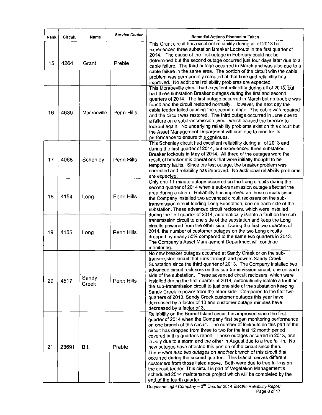| Rank | Circuit | Name           | <b>Service Center</b> | Remedial Actions Planned or Taken                                                                                                                                                                                                                                                                                                                                                                                                                                                                                                                                                                                                                                                                                                                                                                                                                                                                                     |
|------|---------|----------------|-----------------------|-----------------------------------------------------------------------------------------------------------------------------------------------------------------------------------------------------------------------------------------------------------------------------------------------------------------------------------------------------------------------------------------------------------------------------------------------------------------------------------------------------------------------------------------------------------------------------------------------------------------------------------------------------------------------------------------------------------------------------------------------------------------------------------------------------------------------------------------------------------------------------------------------------------------------|
| 15   | 4264    | Grant          | Preble                | This Grant circuit had excellent reliability during all of 2013 but<br>experienced three substation Breaker Lockouts in the first quarter of<br>2014. The cause of the first outage in February could not be<br>determined but the second outage occurred just four days later due to a<br>cable failure. The third outage occurred in March and was also due to a<br>cable failure in the same area. The portion of the circuit with the cable<br>problem was permanently rerouted at that time and reliability has<br>improved. No additional reliability problems are expected.                                                                                                                                                                                                                                                                                                                                    |
| 16   | 4639    | Monroeville    | <b>Penn Hills</b>     | This Monroeville circuit had excellent reliability during all of 2013, but<br>had three substation Breaker outages during the first and second<br>quarters of 2014. The first outage occurred in March but no trouble was<br>found and the circuit restored normally. However, the next day the<br>cable feeder failed causing the second outage. The cable was repaired<br>and the circuit was restored. The third outage occurred in June due to<br>a failure on a sub-transmission circuit which caused the breaker to<br>lockout again. No underlying reliability problems exist on this circuit but<br>the Asset Management Department will continue to monitor its<br>performance to ensure this continues.                                                                                                                                                                                                     |
| 17   | 4066    | Schenley       | Penn Hills            | This Schenley circuit had excellent reliability during all of 2013 and<br>during the first quarter of 2014, but experienced three substation<br>Breaker lockouts in May of 2014. All three of the outages were the<br>result of breaker mis-operations that were initially thought to be<br>temporary faults. Since the last outage, the breaker problem was<br>corrected and reliability has improved. No additional reliability problems<br>are expected.                                                                                                                                                                                                                                                                                                                                                                                                                                                           |
| 18   | 4154    | Long           | Penn Hills            | Only one 11-minute outage occurred on the Long circuits during the<br>second quarter of 2014 when a sub-transmission outage affected the<br>area during a storm. Reliability has improved on these circuits since<br>the Company installed two advanced circuit reclosers on the sub-<br>transmission circuit feeding Long Substation, one on each side of the<br>substation. These advanced circuit reclosers, which were installed                                                                                                                                                                                                                                                                                                                                                                                                                                                                                  |
| 19   | 4155    | Long           | Penn Hills            | during the first quarter of 2014, automatically isolate a fault on the sub-<br>transmission circuit to one side of the substation and keep the Long<br>circuits powered from the other side. During the first two quarters of<br>2014, the number of customer outages on the two Long circuits<br>dropped by nearly 50% compared to the same two quarters in 2013.<br>The Company's Asset Management Department will continue<br>monitoring.                                                                                                                                                                                                                                                                                                                                                                                                                                                                          |
| 20   | 4517    | Sandy<br>Creek | Penn Hills            | No new breaker outages occurred at Sandy Creek or on the sub-<br>transmission circuit that runs through and powers Sandy Creek<br>Substation since the third quarter of 2013. The Company installed two<br>advanced circuit reclosers on this sub-transmission circuit, one on each<br>side of the substation. These advanced circuit reclosers, which were<br>installed during the first quarter of 2014, automatically isolate a fault on<br>the sub-transmission circuit to just one side of the substation keeping<br>Sandy Creek in power from the other side. Compared to the first two<br>quarters of 2013, Sandy Creek customer outages this year have<br>decreased by a factor of 10 and customer outage-minutes have<br>decreased by a factor of 3.                                                                                                                                                         |
| 21   | 23691   | B.I.           | Preble                | Reliability on the Brunot Island circuit has improved since the first<br>quarter of 2014 when the Company first began monitoring performance<br>on one branch of this circuit. The number of lockouts on this part of the<br>circuit has dropped from three to two for the last 12 month period<br>covered in this quarter's report. These outages occurred in 2013, one<br>in July due to a storm and the other in August due to a tree fall-in. No<br>new outages have affected this portion of the circuit since then.<br>There were also two outages on another branch of this circuit that<br>occurred during the second quarter. This branch serves different<br>customers from those listed above. Both were due to tree fall-ins on<br>the circuit feeder. This circuit is part of Vegetation Management's<br>scheduled 2014 maintenance project which will be completed by the<br>end of the fourth quarter. |

Duquesne Light Company -- 2<sup>na</sup> Quarter 2014 Electric Reliability Report Page 8 of 17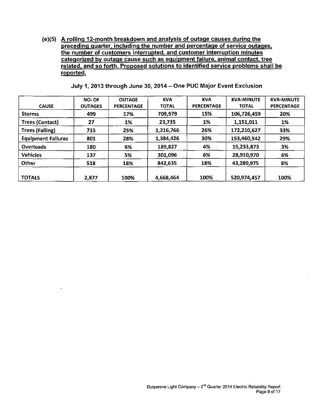(e){5) A rolling 12-month breakdown and analysis of outage causes during the preceding quarter, including the number and percentage of service outages, the number of customers interrupted, and customer interruption minutes categorized bv outage cause such as eguipment failure, animal contact, tree related, and so forth. Proposed solutions to identified service problems shall be reported.

| <b>CAUSE</b>              | NO. OF<br><b>OUTAGES</b> | <b>OUTAGE</b><br><b>PERCENTAGE</b> | <b>KVA</b><br><b>TOTAL</b> | <b>KVA</b><br><b>PERCENTAGE</b> | <b>KVA-MINUTE</b><br><b>TOTAL</b> | <b>KVA-MINUTE</b><br><b>PERCENTAGE</b> |
|---------------------------|--------------------------|------------------------------------|----------------------------|---------------------------------|-----------------------------------|----------------------------------------|
| <b>Storms</b>             | 499                      | 17%                                | 709,979                    | 15%                             | 106,726,459                       | 20%                                    |
| Trees (Contact)           | 27                       | 1%                                 | 23,735                     | 1%                              | 1,151,011                         | 1%                                     |
| <b>Trees (Falling)</b>    | 715                      | 25%                                | 1,216,766                  | 26%                             | 172,210,627                       | 33%                                    |
| <b>Equipment Failures</b> | 801                      | 28%                                | 1,384,426                  | 30%                             | 153,460,542                       | 29%                                    |
| Overloads                 | 180                      | 6%                                 | 189,827                    | 4%                              | 15,233,873                        | 3%                                     |
| <b>Vehicles</b>           | 137                      | 5%                                 | 301,096                    | 6%                              | 28,910,970                        | 6%                                     |
| Other                     | 518                      | 18%                                | 842,635                    | 18%                             | 43,280,975                        | 8%                                     |
| <b>TOTALS</b>             | 2,877                    | 100%                               | 4,668,464                  | 100%                            | 520,974,457                       | 100%                                   |

July 1, 2013 through June 30, 2014- One PUC Major Event Exclusion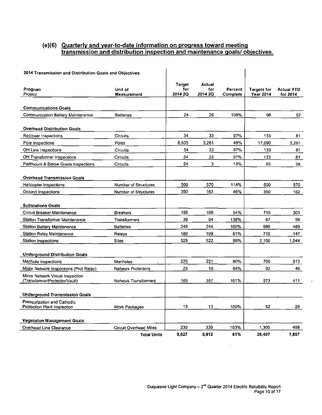#### **(e)(6) Quarterly and year-to-date information on progress toward meeting transmission and distribution inspection and maintenance goals/ objectives.**

 $\bar{\mathcal{A}}$ 

| 2014 Transmission and Distribution Goals and Objectives                  |                               |                                 |                          |                     |                                        |                               |
|--------------------------------------------------------------------------|-------------------------------|---------------------------------|--------------------------|---------------------|----------------------------------------|-------------------------------|
| Program<br>Project                                                       | <b>Unit of</b><br>Measurement | <b>Target</b><br>for<br>2014 2Q | Actual<br>for<br>2014 2Q | Percent<br>Complete | <b>Targets for</b><br><b>Year 2014</b> | <b>Actual YTD</b><br>for 2014 |
| <b>Communications Goals</b>                                              |                               |                                 |                          |                     |                                        |                               |
| Communication Battery Maintenance                                        | <b>Batteries</b>              | 24                              | 26                       | 108%                | 96                                     | 52                            |
| <b>Overhead Distribution Goals</b>                                       |                               |                                 |                          |                     |                                        |                               |
| Recloser Inspections                                                     | <b>Circuits</b>               | 34                              | 33                       | 97%                 | 133                                    | 81                            |
| Pole Inspections                                                         | Poles                         | 6,635                           | 3,261                    | 49%                 | 17,690                                 | 3.261                         |
| OH Line Inspections                                                      | Circuits                      | 34                              | 33                       | 97%                 | 133                                    | 81                            |
| OH Transformer Inspections                                               | Círcuits                      | 34                              | 33                       | 97%                 | 133                                    | 81                            |
| Padmount & Below Grade Inspections                                       | Circuits                      | 24                              | 3                        | 13%                 | 83                                     | 38                            |
| <b>Overhead Transmission Goals</b>                                       |                               |                                 |                          |                     |                                        |                               |
| Helicopter Inspections                                                   | Number of Structures          | 500                             | 570                      | 114%                | 500                                    | 570                           |
| Ground Inspections                                                       | Number of Structures          | 350                             | 162                      | 46%                 | 350                                    | 162                           |
| <b>Substations Goals</b>                                                 |                               |                                 |                          |                     |                                        |                               |
| Circuit Breaker Maintenance                                              | Breakers                      | 195                             | 106                      | 54%                 | 715                                    | 301                           |
| Station Transformer Maintenance                                          | Transformers                  | 39                              | 54                       | 138%                | 67                                     | 56                            |
| Station Battery Maintenance                                              | <b>Batteries</b>              | 245                             | 244                      | 100%                | 980                                    | 489.                          |
| Station Relay Maintenance                                                | Relays                        | 180                             | 109                      | 61%                 | 710                                    | 147                           |
| Station Inspections                                                      | <b>Sites</b>                  | 525                             | 522                      | 99%                 | 2.100                                  | 1.044                         |
| <b>Underground Distribution Goals</b>                                    |                               |                                 |                          |                     |                                        |                               |
| Manhole Inspections                                                      | Manholes                      | 275                             | 221                      | 80%                 | 700                                    | 513                           |
| Major Network Inspections (Prot Relay)                                   | <b>Network Protectors</b>     | 25                              | 16                       | 64%                 | 92                                     | 46                            |
| Minor Network Visual Inspection<br><u>(Tran</u> sformer/Protector/Vault) | <b>Network Transformers</b>   | 165                             | 167                      | 101%                | 573                                    | 411                           |
| <b>Underground Transmission Goals</b>                                    |                               |                                 |                          |                     |                                        |                               |
| Pressurization and Cathodic                                              |                               |                                 |                          |                     |                                        |                               |
| Protection Plant Inspection                                              | Work Packages                 | 13                              | 13                       | 100%                | 52                                     | 26.                           |
| <b>Vegetation Management Goals</b>                                       |                               |                                 |                          |                     |                                        |                               |
| Overhead Line Clearance                                                  | <b>Circuit Overhead Miles</b> | 330                             | 339                      | 103%                | 1,300                                  | 498                           |
|                                                                          | <b>Total Units</b>            | 9,627                           | 5,912                    | 61%                 | 26,407                                 | 7,857                         |

 $\hat{\mathcal{A}}$ 

ł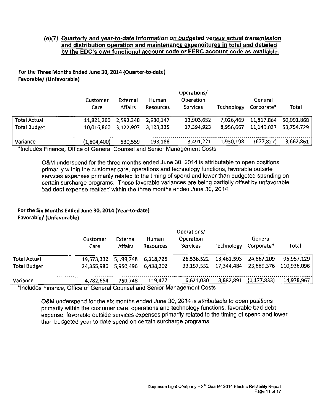#### (e)(7) Quarterly and year-to-date information on budgeted versus actual transmission and distribution operation and maintenance expenditures in total and detailed by the EDC's own functional account code or FERC account code as available.

#### For the Three Months Ended June 30, 2014 (Quarter-to-date) Favorable/ (Unfavorable)

|                     | Customer<br>Care                                                         | External<br><b>Affairs</b> | <b>Human</b><br><b>Resources</b> | Operations/<br>Operation<br><b>Services</b> | <b>Technology</b> | General<br>Corporate* | Total      |
|---------------------|--------------------------------------------------------------------------|----------------------------|----------------------------------|---------------------------------------------|-------------------|-----------------------|------------|
| <b>Total Actual</b> | 11,821,260                                                               | 2,592,348                  | 2.930.147                        | 13,903,652                                  | 7,026,469         | 11,817,864            | 50.091,868 |
| <b>Total Budget</b> | 10.016.860                                                               | 3.122,907                  | 3.123.335                        | 17,394,923                                  | 8,956,667         | 11,140,037            | 53.754.729 |
| Variance            | (1,804,400)                                                              | 530,559                    | 193,188                          | 3,491,271                                   | 1,930,198         | (677, 827)            | 3,662,861  |
|                     | *Includes Finance, Office of Conoral Counsel and Sopier Management Costs |                            |                                  |                                             |                   |                       |            |

includes Finance, Office of General Counsel and Senior Management Costs

O&M underspend forthe three months ended June 30, 2014 is attributable to open positions primarily within the customer care, operations and technology functions, favorable outside services expenses primarily related to the timing of spend and lower than budgeted spending on certain surcharge programs. These favorable variances are being partially offset by unfavorable bad debt expense realized within the three months ended June 30, 2014.

#### For the Six Months Ended June 30,2014 (Year-to-date) Favorable/ (Unfavorable)

|                                                                          | Customer<br>Care | External<br><b>Affairs</b> | Human<br><b>Resources</b> | Operations/<br>Operation<br>Services | Technology | General<br>Corporate* | Total       |
|--------------------------------------------------------------------------|------------------|----------------------------|---------------------------|--------------------------------------|------------|-----------------------|-------------|
| <b>Total Actual</b>                                                      | 19,573,332       | 5,199,748                  | 6,318,725                 | 26,536,522                           | 13,461,593 | 24,867,209            | 95,957,129  |
| <b>Total Budget</b>                                                      | 24.355.986       | 5.950,496                  | 6.438.202                 | 33,157,552                           | 17,344,484 | 23,689,376            | 110,936,096 |
| Variance                                                                 | 4,782,654        | 750.748                    | 119.477                   | 6,621,030                            | 3,882,891  | (1, 177, 833)         | 14,978,967  |
| *Includes Einance, Office of Coneral Counsel and Sepier Management Costs |                  |                            |                           |                                      |            |                       |             |

'Includes Finance, Office of General Counsel and Senior Management Costs

O&M underspend for the six months ended June 30, 2014 is attributable to open positions primarily within the customer care, operations and technology functions, favorable bad debt expense, favorable outside services expenses primarily related to the timing of spend and lower than budgeted year to date spend on certain surcharge programs.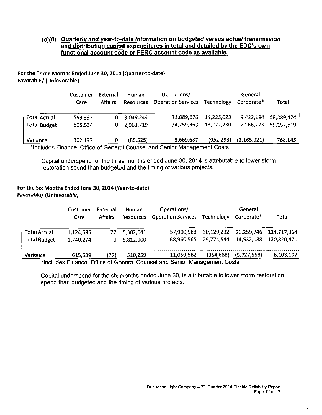#### **(e)(8) Quarterly and year-to-date information on budgeted versus actual transmission and distribution capital expenditures in total and detailed bv the EDC's own functional account code or FERC account code as available.**

#### For the Three Months Ended June 30, 2014 (Quarter-to-date) Favorable/ (Unfavorable)

|                     | External<br>Customer<br><b>Affairs</b><br>Care |   | Operations/<br><b>Human</b><br><b>Operation Services</b><br>Resources |            | Technology | Total         |            |
|---------------------|------------------------------------------------|---|-----------------------------------------------------------------------|------------|------------|---------------|------------|
| <b>Total Actual</b> | 593,337                                        | 0 | 3,049,244                                                             | 31,089,676 | 14.225.023 | 9,432,194     | 58,389,474 |
| <b>Total Budget</b> | 895,534                                        | 0 | 2,963,719                                                             | 34,759,363 | 13,272,730 | 7,266,273     | 59,157,619 |
| Variance            | 302,197                                        |   | (85, 525)                                                             | 3,669,687  | (952, 293) | (2, 165, 921) | 768,145    |

Includes Finance, Office of General Counsel and Senior Management Costs

Capital underspend for the three months ended June 30, 2014 is attributable to lower storm restoration spend than budgeted and the timing of various projects.

#### **For the Six Months Ended June 30,2014 (Year-to-date) Favorable/ (Unfavorable)**

| Customer  | External       | Human     | Operations/ |            | General                   |              |
|-----------|----------------|-----------|-------------|------------|---------------------------|--------------|
| Care      | <b>Affairs</b> |           |             | Technology | Corporate*                | <b>Total</b> |
| 1,124,685 | 77             | 5,302,641 | 57,900.983  | 30,129,232 | 20,259,746                | 114,717,364  |
| 1,740,274 | 0              | 5,812,900 | 68.960.565  | 29,774,544 | 14,532,188                | 120,820,471  |
| 615.589   | (77)           | 510.259   | 11,059,582  | (354, 688) | (5,727,558)               | 6,103,107    |
|           |                |           |             | Resources  | <b>Operation Services</b> |              |

^Includes Finance, Office of General Counsel and Senior Management Costs

Capital underspend for the six months ended June 30, is attributable to lower storm restoration spend than budgeted and the timing of various projects.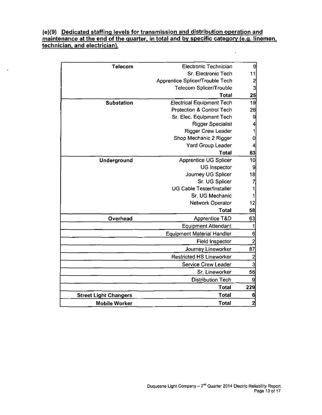#### **(e)(9) Dedicated staffing levels for transmission and distribution operation and maintenance at the end of the quarter, in total and by specific category (e.g. linemen, technician, and electrician).**

 $\ddot{\phantom{1}}$ 

 $\hat{\mathcal{A}}$ 

| 9                       | Electronic Technician             | Telecom                      |
|-------------------------|-----------------------------------|------------------------------|
| 11                      | Sr. Electronic Tech               |                              |
| $\overline{\mathbf{c}}$ | Apprentice Splicer/Trouble Tech   |                              |
| 3                       | Telecom Splicer/Trouble           |                              |
| 25                      | Total                             |                              |
| 19                      | <b>Electrical Equipment Tech</b>  | Substation                   |
| 26                      | Protection & Control Tech         |                              |
| 9                       | Sr. Elec. Equipment Tech          |                              |
| 4                       | <b>Rigger Specialist</b>          |                              |
| 1                       | <b>Rigger Crew Leader</b>         |                              |
| 0                       | Shop Mechanic 2 Rigger            |                              |
|                         | <b>Yard Group Leader</b>          |                              |
| 63                      | <b>Total</b>                      |                              |
| 10                      | Apprentice UG Splicer             | Underground                  |
| 9                       | <b>UG Inspector</b>               |                              |
| 18                      | Journey UG Splicer                |                              |
| $\overline{7}$          | Sr. UG Splicer                    |                              |
|                         | <b>UG Cable Tester/Installer</b>  |                              |
|                         | Sr. UG Mechanic                   |                              |
| 12                      | Network Operator                  |                              |
| 58                      | Total                             |                              |
| 63                      | Apprentice T&D                    | Overhead                     |
| 1                       | <b>Equipment Attendant</b>        |                              |
| 6                       | <b>Equipment Material Handler</b> |                              |
| $\overline{c}$          | <b>Field Inspector</b>            |                              |
| 87                      | Journey Lineworker                |                              |
| $\overline{2}$          | <b>Restricted HS Lineworker</b>   |                              |
| 3                       | <b>Service Crew Leader</b>        |                              |
| 56                      | Sr. Lineworker                    |                              |
| 9                       | <b>Distribution Tech</b>          |                              |
| 229                     | <b>Total</b>                      |                              |
| 6                       | <b>Total</b>                      | <b>Street Light Changers</b> |
| $\overline{2}$          | Total                             | <b>Mobile Worker</b>         |
|                         |                                   |                              |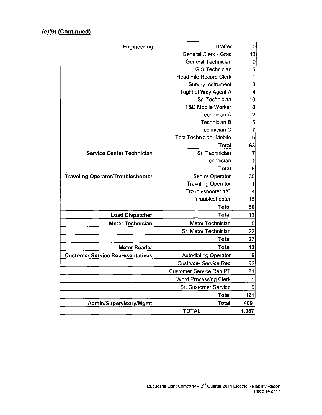### **(e)(9) (Continued)**

 $\sim 10^{-10}$ 

|                                                                 | 0              |
|-----------------------------------------------------------------|----------------|
| General Clerk - Grad                                            | 13             |
| General Technician                                              | 0              |
| <b>GIS Technician</b>                                           | 5              |
| <b>Head File Record Clerk</b>                                   | 1              |
| <b>Survey Instrument</b>                                        | 3              |
| Right of Way Agent A                                            |                |
| Sr. Technician                                                  | 10             |
| <b>T&amp;D Mobile Worker</b>                                    | 8              |
| Technician A                                                    | $\overline{c}$ |
| <b>Technician B</b>                                             | 5              |
| Technician C                                                    | 7              |
| <b>Test Technician, Mobile</b>                                  | 5              |
| Total                                                           | 63             |
| Sr. Technician<br><b>Service Center Technician</b>              | 7              |
| Technician                                                      | 1              |
| Total                                                           | 8              |
| Senior Operator<br><b>Traveling Operator/Troubleshooter</b>     | 30             |
| <b>Traveling Operator</b>                                       | 1              |
| Troubleshooter 1/C                                              | 4              |
| Troubleshooter                                                  | 15             |
| <b>Total</b>                                                    | 50             |
| <b>Total</b><br><b>Load Dispatcher</b>                          | 13             |
| Meter Technician<br><b>Meter Technician</b>                     | 5              |
| Sr. Meter Technician                                            | 22             |
| Total                                                           | 27             |
| <b>Total</b><br><b>Meter Reader</b>                             | 13             |
| Autodialing Operator<br><b>Customer Service Representatives</b> | 9              |
| <b>Customer Service Rep</b>                                     | 82             |
| <b>Customer Service Rep PT</b>                                  | 24             |
| <b>Word Processing Clerk</b>                                    | 1              |
| Sr. Customer Service                                            | 5              |
| Total                                                           | 121            |
| <b>Total</b><br>Admin/Supervisory/Mgmt                          | 409            |
| <b>TOTAL</b>                                                    | 1,087          |

 $\mathcal{L}(\mathbf{A})$  and  $\mathcal{L}(\mathbf{A})$  and  $\mathcal{L}(\mathbf{A})$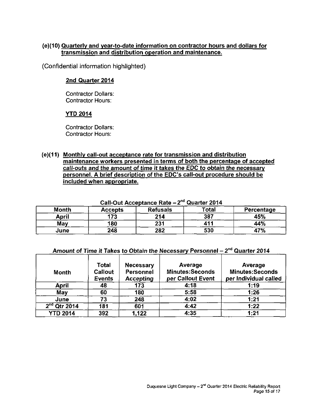#### (e)(10) Quarterly and year-to-date information on contractor hours and dollars for transmission and distribution operation and maintenance.

(Confidential information highlighted)

#### 2nd Quarter 2014

Contractor Dollars: Contractor Hours:

#### YTD 2014

Contractor Dollars: Contractor Hours:

(e){11) Monthly call-out acceptance rate for transmission and distribution maintenance workers presented in terms of both the percentage of accepted call-outs and the amount of time it takes the EDC to obtain the necessary personnel. A brief description of the EDC's call-out procedure should be included when appropriate.

|              | Call-Out Acceptance Rate – 2<br><b>QUATLET ZUTT</b> |                 |       |            |  |  |  |  |  |  |
|--------------|-----------------------------------------------------|-----------------|-------|------------|--|--|--|--|--|--|
| <b>Month</b> | <b>Accepts</b>                                      | <b>Refusals</b> | Total | Percentage |  |  |  |  |  |  |
| April        | 173                                                 | 214             | 387   | 45%        |  |  |  |  |  |  |
| May          | 180                                                 | 231             | 411   | 44%        |  |  |  |  |  |  |
| June         | 248                                                 | 282             | 530   | 47%        |  |  |  |  |  |  |

Call-Out Acceptance Rate – 2<sup>na</sup> Quarter 2014

| Amount of Time it Takes to Obtain the Necessary Personnel $-2^{nd}$ Quarter 2014 |  |
|----------------------------------------------------------------------------------|--|
|----------------------------------------------------------------------------------|--|

| <b>Month</b>    | <b>Total</b><br>Callout<br><b>Events</b> | <b>Necessary</b><br>Personnel<br><b>Accepting</b> | Average<br><b>Minutes:Seconds</b><br>per Callout Event | Average<br><b>Minutes:Seconds</b><br>per Individual called |  |  |  |
|-----------------|------------------------------------------|---------------------------------------------------|--------------------------------------------------------|------------------------------------------------------------|--|--|--|
| <b>April</b>    | 48                                       | 173                                               | 4:18                                                   | 1:19                                                       |  |  |  |
| May             | 60                                       | 180                                               | 5:58                                                   | 1:26                                                       |  |  |  |
| June            | 73                                       | 248                                               | 4:02                                                   | 1:21                                                       |  |  |  |
| $2nd$ Qtr 2014  | 181                                      | 601                                               | 4:42                                                   | 1:22                                                       |  |  |  |
| <b>YTD 2014</b> | 392                                      | 1,122                                             | 4:35                                                   | 1:21                                                       |  |  |  |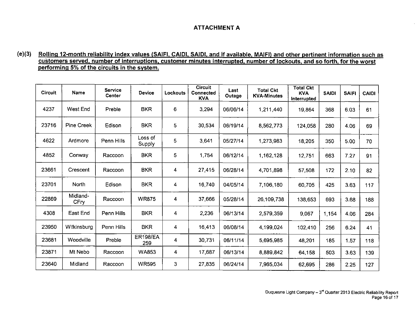#### **ATTACHMENT A**

#### **(e)(3) Rolling 12-month reliability index values (SAIFI, CAIDI. SAIDI, and if available. MAIFI) and other pertinent information such as customers served, number of interruptions, customer minutes interrupted, number of lockouts, and so forth, for the worst performing 5% of the circuits in the svstem.**

| <b>Circuit</b> | Name              | <b>Service</b><br>Center | <b>Device</b>          | Lockouts | <b>Circuit</b><br><b>Connected</b><br><b>KVA</b> | Last<br>Outage | <b>Total Ckt</b><br><b>KVA-Minutes</b> | <b>Total Ckt</b><br><b>KVA</b><br>Interrupted | <b>SAIDI</b> | <b>SAIFI</b> | <b>CAIDI</b> |
|----------------|-------------------|--------------------------|------------------------|----------|--------------------------------------------------|----------------|----------------------------------------|-----------------------------------------------|--------------|--------------|--------------|
| 4237           | <b>West End</b>   | Preble                   | <b>BKR</b>             | 6        | 3,294                                            | 06/06/14       | 1,211,440                              | 19,864                                        | 368          | 6.03         | 61           |
| 23716          | <b>Pine Creek</b> | Edison                   | <b>BKR</b>             | 5        | 30,534                                           | 06/19/14       | 8,562,773                              | 124,058                                       | 280          | 4.06         | 69           |
| 4622           | Ardmore           | Penn Hills               | Loss of<br>Supply      | 5        | 3,641                                            | 05/27/14       | 1,273,983                              | 18,205                                        | 350          | 5.00         | 70           |
| 4852           | Conway            | Raccoon                  | <b>BKR</b>             | 5        | 1,754                                            | 06/12/14       | 1,162,128                              | 12,751                                        | 663          | 7.27         | 91           |
| 23661          | Crescent          | Raccoon                  | <b>BKR</b>             | 4        | 27,415                                           | 06/28/14       | 4.701,898                              | 57,508                                        | 172          | 2.10         | 82           |
| 23701          | North             | Edison                   | <b>BKR</b>             | 4        | 16.740                                           | 04/05/14       | 7,106,180                              | 60.705                                        | 425          | 3.63         | 117          |
| 22869          | Midland-<br>CFry  | Raccoon                  | <b>WR875</b>           | 4        | 37,666                                           | 05/28/14       | 26,109,738                             | 138,653                                       | 693          | 3.68         | 188          |
| 4308           | East End          | Penn Hills               | <b>BKR</b>             | 4        | 2,236                                            | 06/13/14       | 2,579,359                              | 9,067                                         | 1,154        | 4.06         | 284          |
| 23950          | Wilkinsburg       | Penn Hills               | <b>BKR</b>             | 4        | 16.413                                           | 06/08/14       | 4.199,024                              | 102,410                                       | 256          | 6.24         | 41           |
| 23681          | Woodville         | Preble                   | <b>ER198/EA</b><br>259 | 4        | 30 731                                           | 06/11/14       | 5,695,985                              | 48,201                                        | 185          | 1.57         | 118          |
| 23871          | Mt Nebo           | Raccoon                  | <b>WA853</b>           | 4        | 17,687                                           | 06/13/14       | 8,889,842                              | 64 158                                        | 503          | 3.63         | 139          |
| 23640          | Midland           | Raccoon                  | <b>WR595</b>           | 3        | 27,835                                           | 06/24/14       | 7,965,034                              | 62.695                                        | 286          | 2.25         | 127          |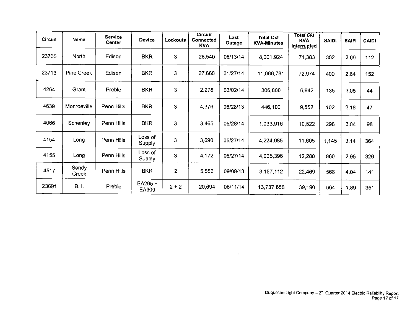| <b>Circuit</b> | Name           | <b>Service</b><br><b>Center</b> | <b>Device</b>     | Lockouts       | <b>Circuit</b><br>Connected<br><b>KVA</b> | Last<br>Outage | <b>Total Ckt</b><br><b>KVA-Minutes</b> | <b>Total Ckt</b><br><b>KVA</b><br>Interrupted | <b>SAIDI</b> | <b>SAIFI</b> | <b>CAIDI</b> |
|----------------|----------------|---------------------------------|-------------------|----------------|-------------------------------------------|----------------|----------------------------------------|-----------------------------------------------|--------------|--------------|--------------|
| 23705          | North          | Edison                          | <b>BKR</b>        | 3              | 26,540                                    | 06/13/14       | 8,001,924                              | 71,383                                        | 302          | 2.69         | 112          |
| 23713          | Pine Creek     | Edison                          | <b>BKR</b>        | 3              | 27,660                                    | 01/27/14       | 11,066,781                             | 72,974                                        | 400          | 2.64         | 152          |
| 4264           | Grant          | Preble                          | <b>BKR</b>        | 3              | 2,278                                     | 03/02/14       | 306,800                                | 6,942                                         | 135          | 3,05         | 44           |
| 4639           | Monroeville    | Penn Hills                      | <b>BKR</b>        | 3              | 4,376                                     | 06/28/13       | 446,100                                | 9,552                                         | 102          | 2.18         | 47           |
| 4066           | Schenley       | Penn Hills                      | <b>BKR</b>        | 3              | 3,465                                     | 05/28/14       | 1,033,916                              | 10,522                                        | 298          | 3.04         | 98           |
| 4154           | Long           | Penn Hills                      | Loss of<br>Supply | 3              | 3,690                                     | 05/27/14       | 4,224,985                              | 11,605                                        | 1,145        | 3.14         | 364          |
| 4155           | Long           | Penn Hills                      | Loss of<br>Supply | 3              | 4,172                                     | 05/27/14       | 4,005,396                              | 12,288                                        | 960          | 2.95         | 326          |
| 4517           | Sandy<br>Creek | Penn Hills                      | <b>BKR</b>        | $\overline{2}$ | 5,556                                     | 09/09/13       | 3,157,112                              | 22,469                                        | 568          | 4.04         | 141          |
| 23691          | <b>B.I.</b>    | Preble                          | EA265+<br>EA309   | $2 + 2$        | 20,694                                    | 06/11/14       | 13,737,656                             | 39,190                                        | 664          | 1.89         | 351          |

 $\sim 10^{-1}$